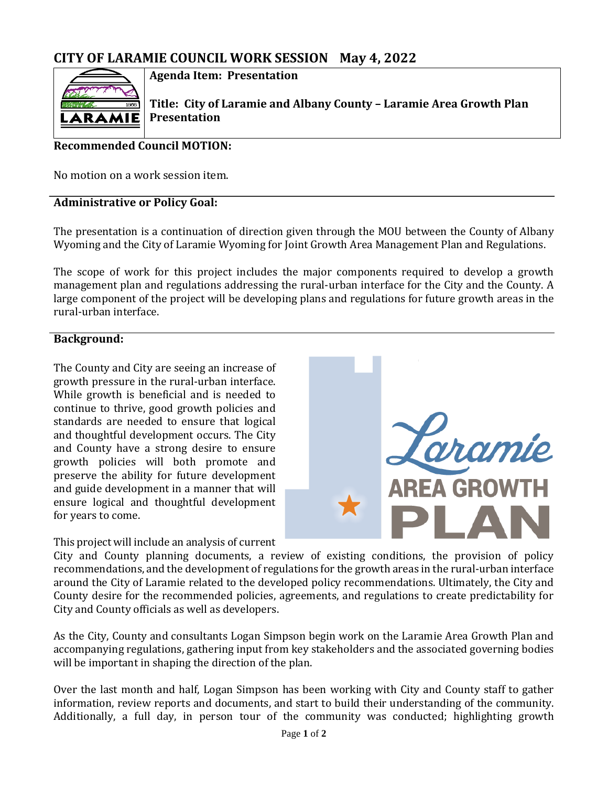# **CITY OF LARAMIE COUNCIL WORK SESSION May 4, 2022**



**Agenda Item: Presentation**

**Title: City of Laramie and Albany County – Laramie Area Growth Plan Presentation**

# **Recommended Council MOTION:**

No motion on a work session item.

## **Administrative or Policy Goal:**

The presentation is a continuation of direction given through the MOU between the County of Albany Wyoming and the City of Laramie Wyoming for Joint Growth Area Management Plan and Regulations.

The scope of work for this project includes the major components required to develop a growth management plan and regulations addressing the rural-urban interface for the City and the County. A large component of the project will be developing plans and regulations for future growth areas in the rural-urban interface.

## **Background:**

The County and City are seeing an increase of growth pressure in the rural-urban interface. While growth is beneficial and is needed to continue to thrive, good growth policies and standards are needed to ensure that logical and thoughtful development occurs. The City and County have a strong desire to ensure growth policies will both promote and preserve the ability for future development and guide development in a manner that will ensure logical and thoughtful development for years to come.



### This project will include an analysis of current

City and County planning documents, a review of existing conditions, the provision of policy recommendations, and the development of regulations for the growth areas in the rural-urban interface around the City of Laramie related to the developed policy recommendations. Ultimately, the City and County desire for the recommended policies, agreements, and regulations to create predictability for City and County officials as well as developers.

As the City, County and consultants Logan Simpson begin work on the Laramie Area Growth Plan and accompanying regulations, gathering input from key stakeholders and the associated governing bodies will be important in shaping the direction of the plan.

Over the last month and half, Logan Simpson has been working with City and County staff to gather information, review reports and documents, and start to build their understanding of the community. Additionally, a full day, in person tour of the community was conducted; highlighting growth